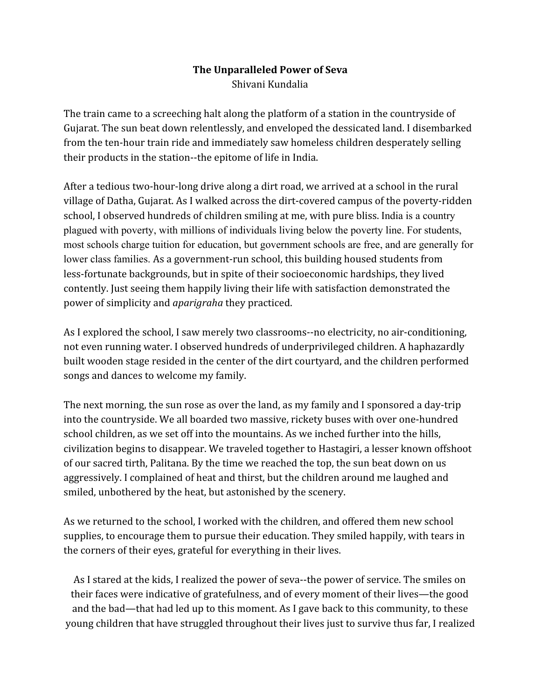## **The Unparalleled Power of Seva** Shivani Kundalia

The train came to a screeching halt along the platform of a station in the countryside of Gujarat. The sun beat down relentlessly, and enveloped the dessicated land. I disembarked from the ten-hour train ride and immediately saw homeless children desperately selling their products in the station--the epitome of life in India.

After a tedious two-hour-long drive along a dirt road, we arrived at a school in the rural village of Datha, Gujarat. As I walked across the dirt-covered campus of the poverty-ridden school, I observed hundreds of children smiling at me, with pure bliss. India is a country plagued with poverty, with millions of individuals living below the poverty line. For students, most schools charge tuition for education, but government schools are free, and are generally for lower class families. As a government-run school, this building housed students from less-fortunate backgrounds, but in spite of their socioeconomic hardships, they lived contently. Just seeing them happily living their life with satisfaction demonstrated the power of simplicity and *aparigraha* they practiced.

As I explored the school, I saw merely two classrooms--no electricity, no air-conditioning, not even running water. I observed hundreds of underprivileged children. A haphazardly built wooden stage resided in the center of the dirt courtyard, and the children performed songs and dances to welcome my family.

The next morning, the sun rose as over the land, as my family and I sponsored a day-trip into the countryside. We all boarded two massive, rickety buses with over one-hundred school children, as we set off into the mountains. As we inched further into the hills, civilization begins to disappear. We traveled together to Hastagiri, a lesser known offshoot of our sacred tirth, Palitana. By the time we reached the top, the sun beat down on us aggressively. I complained of heat and thirst, but the children around me laughed and smiled, unbothered by the heat, but astonished by the scenery.

As we returned to the school, I worked with the children, and offered them new school supplies, to encourage them to pursue their education. They smiled happily, with tears in the corners of their eyes, grateful for everything in their lives.

As I stared at the kids, I realized the power of seva--the power of service. The smiles on their faces were indicative of gratefulness, and of every moment of their lives—the good and the bad—that had led up to this moment. As I gave back to this community, to these young children that have struggled throughout their lives just to survive thus far, I realized